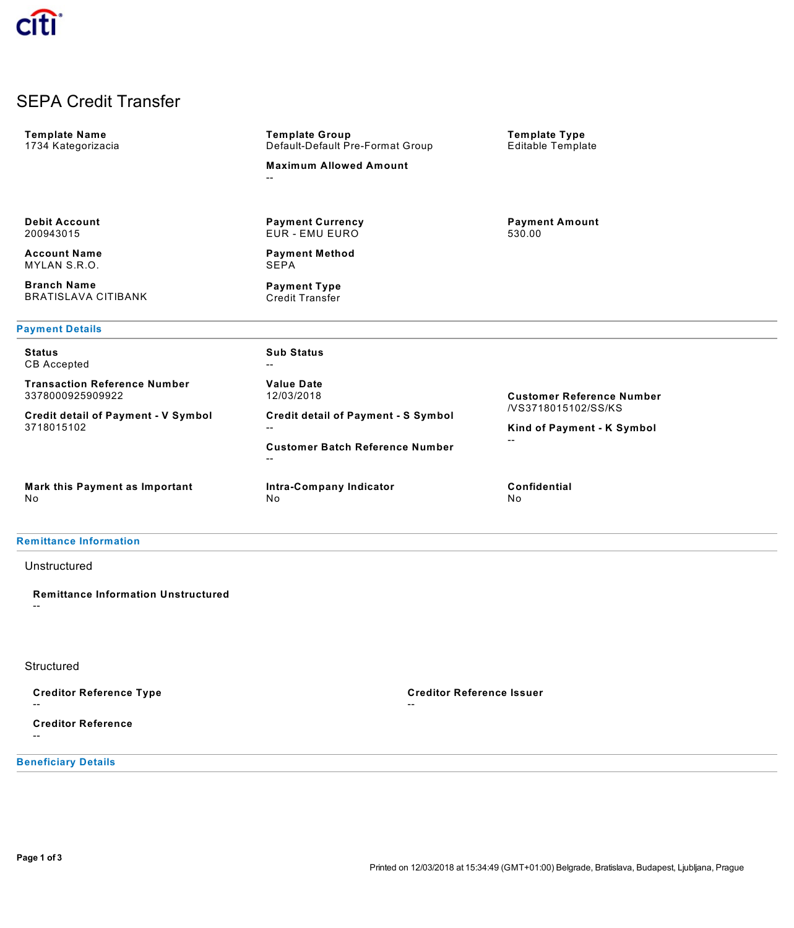# SEPA Credit Transfer

| <b>Template Name</b><br>1734 Kategorizacia               | <b>Template Group</b><br>Default-Default Pre-Format Group | <b>Template Type</b><br><b>Editable Template</b>  |
|----------------------------------------------------------|-----------------------------------------------------------|---------------------------------------------------|
|                                                          | <b>Maximum Allowed Amount</b><br>--                       |                                                   |
|                                                          |                                                           |                                                   |
| <b>Debit Account</b><br>200943015                        | <b>Payment Currency</b><br><b>EUR - EMU EURO</b>          | <b>Payment Amount</b><br>530.00                   |
| <b>Account Name</b><br>MYLAN S.R.O.                      | <b>Payment Method</b><br>SEPA                             |                                                   |
| <b>Branch Name</b><br><b>BRATISLAVA CITIBANK</b>         | <b>Payment Type</b><br><b>Credit Transfer</b>             |                                                   |
| <b>Payment Details</b>                                   |                                                           |                                                   |
| <b>Status</b><br><b>CB</b> Accepted                      | <b>Sub Status</b><br>--                                   |                                                   |
| <b>Transaction Reference Number</b><br>3378000925909922  | <b>Value Date</b><br>12/03/2018                           | <b>Customer Reference Number</b>                  |
| <b>Credit detail of Payment - V Symbol</b><br>3718015102 | <b>Credit detail of Payment - S Symbol</b><br>$- -$       | /VS3718015102/SS/KS<br>Kind of Payment - K Symbol |
|                                                          | <b>Customer Batch Reference Number</b><br>--              | $-$                                               |
| Mark this Payment as Important<br>No                     | Intra-Company Indicator<br>No                             | <b>Confidential</b><br>No                         |
|                                                          |                                                           |                                                   |

## **Remittance Information**

## Unstructured

**Remittance Information Unstructured** --

### **Structured**

**Creditor Reference Type**

--

**Creditor Reference** --

**Beneficiary Details**

**Creditor Reference Issuer**

--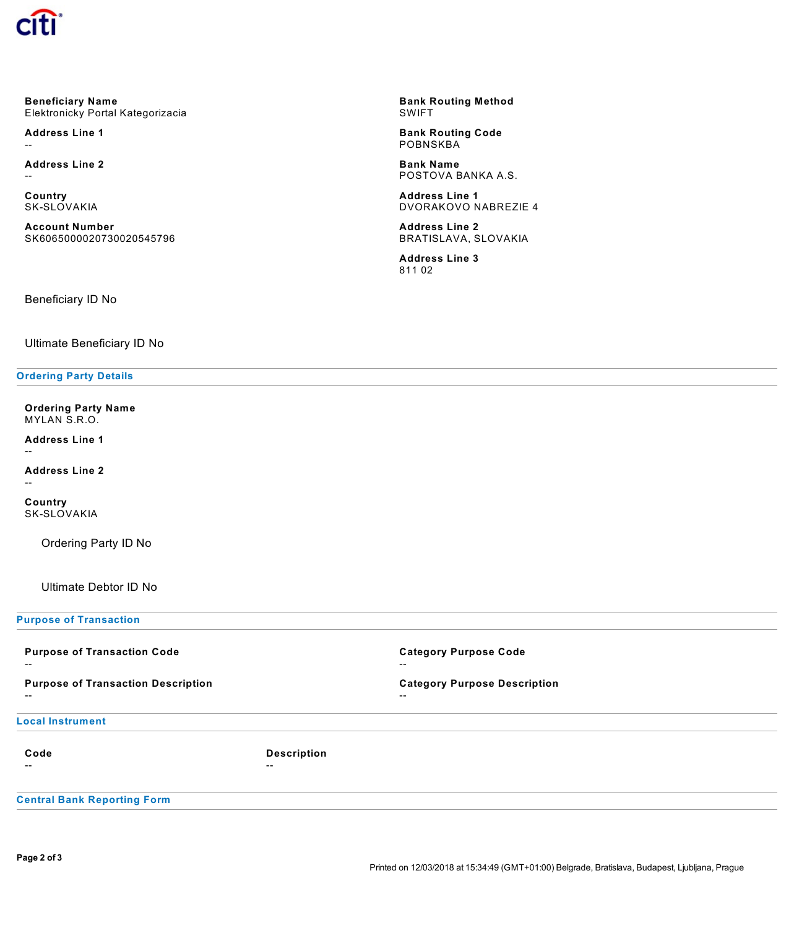

**Beneficiary Name** Elektronicky Portal Kategorizacia

**Address Line 1** --

**Address Line 2** --

**Country** SK-SLOVAKIA

**Account Number** SK6065000020730020545796

**Bank Routing Method** SWIFT

**Bank Routing Code POBNSKBA** 

**Bank Name** POSTOVA BANKA A.S.

**Address Line 1** DVORAKOVO NABREZIE 4

**Address Line 2** BRATISLAVA, SLOVAKIA

**Address Line 3** 811 02

Beneficiary ID No

Ultimate Beneficiary ID No

### **Ordering Party Details**

**Ordering Party Name** MYLAN S.R.O.

**Address Line 1**

--

**Address Line 2** --

**Country** SK-SLOVAKIA

Ordering Party ID No

Ultimate Debtor ID No

**Purpose of Transaction**

| <b>Purpose of Transaction Code</b><br>$- -$        |                             | <b>Category Purpose Code</b><br>$- -$                           |
|----------------------------------------------------|-----------------------------|-----------------------------------------------------------------|
| <b>Purpose of Transaction Description</b><br>$- -$ |                             | <b>Category Purpose Description</b><br>$\overline{\phantom{m}}$ |
| <b>Local Instrument</b>                            |                             |                                                                 |
| Code<br>--                                         | <b>Description</b><br>$- -$ |                                                                 |
| <b>Central Bank Reporting Form</b>                 |                             |                                                                 |